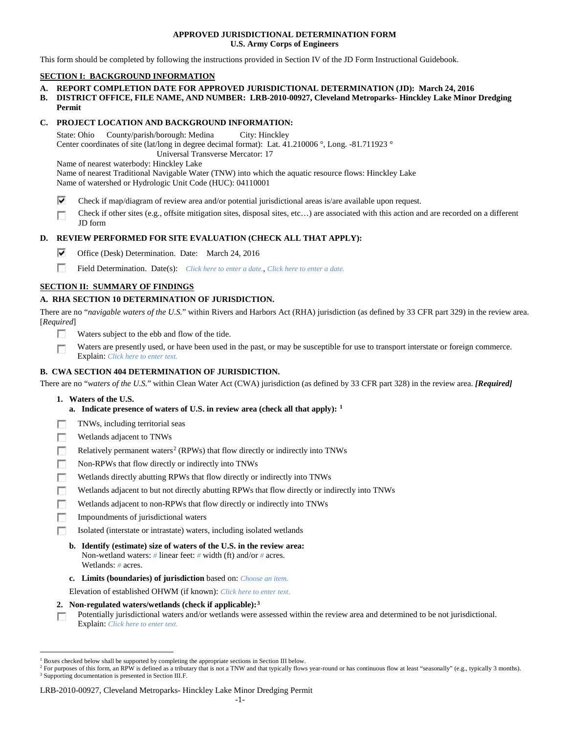### **APPROVED JURISDICTIONAL DETERMINATION FORM U.S. Army Corps of Engineers**

This form should be completed by following the instructions provided in Section IV of the JD Form Instructional Guidebook.

# **SECTION I: BACKGROUND INFORMATION**

- **A. REPORT COMPLETION DATE FOR APPROVED JURISDICTIONAL DETERMINATION (JD): March 24, 2016**
- **B. DISTRICT OFFICE, FILE NAME, AND NUMBER: LRB-2010-00927, Cleveland Metroparks- Hinckley Lake Minor Dredging Permit**

## **C. PROJECT LOCATION AND BACKGROUND INFORMATION:**

State: Ohio County/parish/borough: Medina City: Hinckley Center coordinates of site (lat/long in degree decimal format): Lat. 41.210006 °, Long. -81.711923 ° Universal Transverse Mercator: 17

Name of nearest waterbody: Hinckley Lake Name of nearest Traditional Navigable Water (TNW) into which the aquatic resource flows: Hinckley Lake Name of watershed or Hydrologic Unit Code (HUC): 04110001

- ⊽ Check if map/diagram of review area and/or potential jurisdictional areas is/are available upon request.
- Check if other sites (e.g., offsite mitigation sites, disposal sites, etc…) are associated with this action and are recorded on a different г JD form

### **D. REVIEW PERFORMED FOR SITE EVALUATION (CHECK ALL THAT APPLY):**

- ⊽ Office (Desk) Determination. Date: March 24, 2016
- m Field Determination. Date(s): *Click here to enter a date.*, *Click here to enter a date.*

# **SECTION II: SUMMARY OF FINDINGS**

# **A. RHA SECTION 10 DETERMINATION OF JURISDICTION.**

There are no "*navigable waters of the U.S.*" within Rivers and Harbors Act (RHA) jurisdiction (as defined by 33 CFR part 329) in the review area. [*Required*]

- **IST** Waters subject to the ebb and flow of the tide.
- Waters are presently used, or have been used in the past, or may be susceptible for use to transport interstate or foreign commerce. n Explain: *Click here to enter text.*

# **B. CWA SECTION 404 DETERMINATION OF JURISDICTION.**

There are no "*waters of the U.S.*" within Clean Water Act (CWA) jurisdiction (as defined by 33 CFR part 328) in the review area. *[Required]*

- **1. Waters of the U.S.**
	- **a. Indicate presence of waters of U.S. in review area (check all that apply): [1](#page-0-0)**
- п TNWs, including territorial seas
- Wetlands adjacent to TNWs п
- п Relatively permanent waters<sup>[2](#page-0-1)</sup> (RPWs) that flow directly or indirectly into TNWs
- $\Box$ Non-RPWs that flow directly or indirectly into TNWs
- Wetlands directly abutting RPWs that flow directly or indirectly into TNWs п
- Wetlands adjacent to but not directly abutting RPWs that flow directly or indirectly into TNWs г
- Wetlands adjacent to non-RPWs that flow directly or indirectly into TNWs
- m. Impoundments of jurisdictional waters
- Isolated (interstate or intrastate) waters, including isolated wetlands п
	- **b. Identify (estimate) size of waters of the U.S. in the review area:** Non-wetland waters: *#* linear feet: *#* width (ft) and/or *#* acres. Wetlands: *#* acres.
	- **c. Limits (boundaries) of jurisdiction** based on: *Choose an item.*

Elevation of established OHWM (if known): *Click here to enter text.*

**2. Non-regulated waters/wetlands (check if applicable):[3](#page-0-2)**

Potentially jurisdictional waters and/or wetlands were assessed within the review area and determined to be not jurisdictional. n Explain: *Click here to enter text.*

#### LRB-2010-00927, Cleveland Metroparks- Hinckley Lake Minor Dredging Permit

<span id="page-0-0"></span> <sup>1</sup> Boxes checked below shall be supported by completing the appropriate sections in Section III below.

<span id="page-0-2"></span><span id="page-0-1"></span><sup>&</sup>lt;sup>2</sup> For purposes of this form, an RPW is defined as a tributary that is not a TNW and that typically flows year-round or has continuous flow at least "seasonally" (e.g., typically 3 months). <sup>3</sup> Supporting documentation is presented in Section III.F.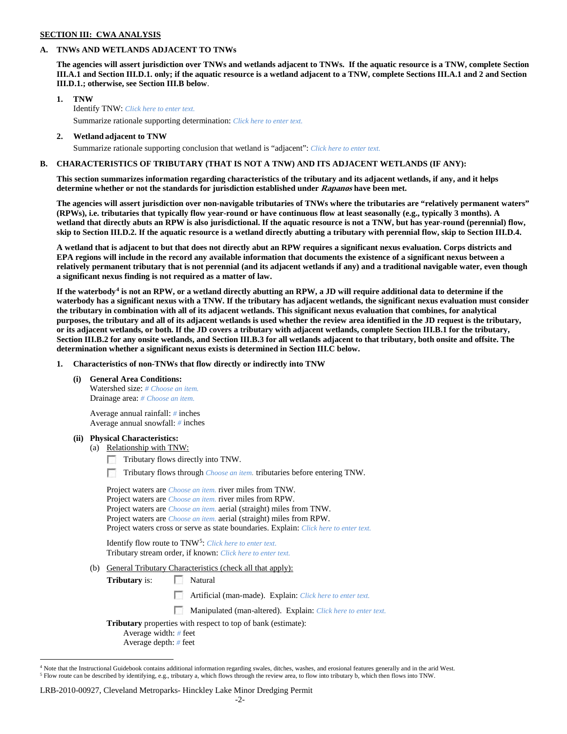### **SECTION III: CWA ANALYSIS**

### **A. TNWs AND WETLANDS ADJACENT TO TNWs**

**The agencies will assert jurisdiction over TNWs and wetlands adjacent to TNWs. If the aquatic resource is a TNW, complete Section III.A.1 and Section III.D.1. only; if the aquatic resource is a wetland adjacent to a TNW, complete Sections III.A.1 and 2 and Section III.D.1.; otherwise, see Section III.B below**.

- **1. TNW**  Identify TNW: *Click here to enter text.* Summarize rationale supporting determination: *Click here to enter text.*
- **2. Wetland adjacent to TNW**
	- Summarize rationale supporting conclusion that wetland is "adjacent": *Click here to enter text.*

### **B. CHARACTERISTICS OF TRIBUTARY (THAT IS NOT A TNW) AND ITS ADJACENT WETLANDS (IF ANY):**

**This section summarizes information regarding characteristics of the tributary and its adjacent wetlands, if any, and it helps determine whether or not the standards for jurisdiction established under Rapanos have been met.** 

**The agencies will assert jurisdiction over non-navigable tributaries of TNWs where the tributaries are "relatively permanent waters" (RPWs), i.e. tributaries that typically flow year-round or have continuous flow at least seasonally (e.g., typically 3 months). A wetland that directly abuts an RPW is also jurisdictional. If the aquatic resource is not a TNW, but has year-round (perennial) flow, skip to Section III.D.2. If the aquatic resource is a wetland directly abutting a tributary with perennial flow, skip to Section III.D.4.**

**A wetland that is adjacent to but that does not directly abut an RPW requires a significant nexus evaluation. Corps districts and EPA regions will include in the record any available information that documents the existence of a significant nexus between a relatively permanent tributary that is not perennial (and its adjacent wetlands if any) and a traditional navigable water, even though a significant nexus finding is not required as a matter of law.**

**If the waterbody[4](#page-1-0) is not an RPW, or a wetland directly abutting an RPW, a JD will require additional data to determine if the waterbody has a significant nexus with a TNW. If the tributary has adjacent wetlands, the significant nexus evaluation must consider the tributary in combination with all of its adjacent wetlands. This significant nexus evaluation that combines, for analytical purposes, the tributary and all of its adjacent wetlands is used whether the review area identified in the JD request is the tributary, or its adjacent wetlands, or both. If the JD covers a tributary with adjacent wetlands, complete Section III.B.1 for the tributary, Section III.B.2 for any onsite wetlands, and Section III.B.3 for all wetlands adjacent to that tributary, both onsite and offsite. The determination whether a significant nexus exists is determined in Section III.C below.**

**1. Characteristics of non-TNWs that flow directly or indirectly into TNW**

**(i) General Area Conditions:**

Watershed size: *# Choose an item.* Drainage area: *# Choose an item.*

Average annual rainfall: *#* inches Average annual snowfall: *#* inches

#### **(ii) Physical Characteristics:**

- (a) Relationship with TNW:
	- Tributary flows directly into TNW.

Tributary flows through *Choose an item.* tributaries before entering TNW.

| Project waters are <i>Choose an item</i> , river miles from TNW.                      |  |
|---------------------------------------------------------------------------------------|--|
| Project waters are <i>Choose an item</i> , river miles from RPW.                      |  |
| Project waters are <i>Choose an item.</i> aerial (straight) miles from TNW.           |  |
| Project waters are <i>Choose an item.</i> aerial (straight) miles from RPW.           |  |
| Project waters cross or serve as state boundaries. Explain: Click here to enter text. |  |

Identify flow route to TNW[5:](#page-1-1) *Click here to enter text.* Tributary stream order, if known: *Click here to enter text.*

(b) General Tributary Characteristics (check all that apply):

**Tributary** is: Natural

Artificial (man-made). Explain: *Click here to enter text.*

Manipulated (man-altered). Explain: *Click here to enter text.*

**Tributary** properties with respect to top of bank (estimate):

Average width: *#* feet

Average depth: *#* feet

#### LRB-2010-00927, Cleveland Metroparks- Hinckley Lake Minor Dredging Permit

<span id="page-1-1"></span><span id="page-1-0"></span><sup>&</sup>lt;sup>4</sup> Note that the Instructional Guidebook contains additional information regarding swales, ditches, washes, and erosional features generally and in the arid West. <sup>5</sup> Flow route can be described by identifying, e.g., tributary a, which flows through the review area, to flow into tributary b, which then flows into TNW.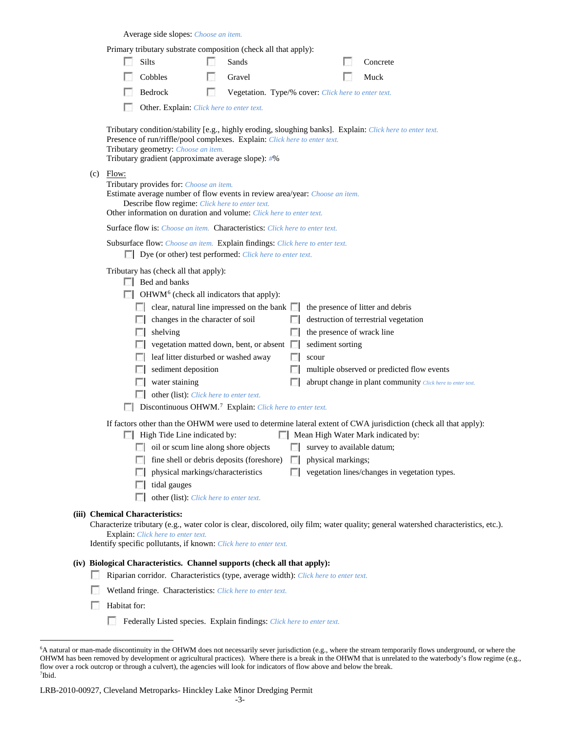|     |                                                                                                                                                                                                                                                                                     |                      | Average side slopes: Choose an item.                                                       |                                                                                                                                                                  |        |                            |  |                                                                                                                                                        |
|-----|-------------------------------------------------------------------------------------------------------------------------------------------------------------------------------------------------------------------------------------------------------------------------------------|----------------------|--------------------------------------------------------------------------------------------|------------------------------------------------------------------------------------------------------------------------------------------------------------------|--------|----------------------------|--|--------------------------------------------------------------------------------------------------------------------------------------------------------|
|     |                                                                                                                                                                                                                                                                                     |                      |                                                                                            | Primary tributary substrate composition (check all that apply):                                                                                                  |        |                            |  |                                                                                                                                                        |
|     | L.                                                                                                                                                                                                                                                                                  | Silts                |                                                                                            | Sands                                                                                                                                                            |        |                            |  | Concrete                                                                                                                                               |
|     |                                                                                                                                                                                                                                                                                     | Cobbles              |                                                                                            | Gravel                                                                                                                                                           |        |                            |  | Muck                                                                                                                                                   |
|     |                                                                                                                                                                                                                                                                                     | Bedrock              |                                                                                            | Vegetation. Type/% cover: Click here to enter text.                                                                                                              |        |                            |  |                                                                                                                                                        |
|     |                                                                                                                                                                                                                                                                                     |                      | Other. Explain: Click here to enter text.                                                  |                                                                                                                                                                  |        |                            |  |                                                                                                                                                        |
|     | Tributary condition/stability [e.g., highly eroding, sloughing banks]. Explain: Click here to enter text.<br>Presence of run/riffle/pool complexes. Explain: Click here to enter text.<br>Tributary geometry: Choose an item.<br>Tributary gradient (approximate average slope): #% |                      |                                                                                            |                                                                                                                                                                  |        |                            |  |                                                                                                                                                        |
| (c) | Flow:                                                                                                                                                                                                                                                                               |                      | Tributary provides for: Choose an item.<br>Describe flow regime: Click here to enter text. | Estimate average number of flow events in review area/year: Choose an item.<br>Other information on duration and volume: Click here to enter text.               |        |                            |  |                                                                                                                                                        |
|     |                                                                                                                                                                                                                                                                                     |                      |                                                                                            | <b>Surface flow is:</b> <i>Choose an item.</i> <b>Characteristics:</b> <i>Click here to enter text.</i>                                                          |        |                            |  |                                                                                                                                                        |
|     | Subsurface flow: Choose an item. Explain findings: Click here to enter text.<br>Dye (or other) test performed: Click here to enter text.                                                                                                                                            |                      |                                                                                            |                                                                                                                                                                  |        |                            |  |                                                                                                                                                        |
|     |                                                                                                                                                                                                                                                                                     | $\Box$ Bed and banks | Tributary has (check all that apply):                                                      | $\Box$ OHWM <sup>6</sup> (check all indicators that apply):<br>$\Box$ clear, natural line impressed on the bank $\Box$                                           |        |                            |  | the presence of litter and debris                                                                                                                      |
|     |                                                                                                                                                                                                                                                                                     |                      | changes in the character of soil                                                           |                                                                                                                                                                  |        |                            |  | destruction of terrestrial vegetation                                                                                                                  |
|     |                                                                                                                                                                                                                                                                                     | $\Box$ shelving      |                                                                                            |                                                                                                                                                                  |        | the presence of wrack line |  |                                                                                                                                                        |
|     |                                                                                                                                                                                                                                                                                     |                      |                                                                                            | vegetation matted down, bent, or absent $\Box$                                                                                                                   |        | sediment sorting           |  |                                                                                                                                                        |
|     |                                                                                                                                                                                                                                                                                     |                      | leaf litter disturbed or washed away                                                       |                                                                                                                                                                  |        | scour                      |  |                                                                                                                                                        |
|     |                                                                                                                                                                                                                                                                                     |                      | $\Box$ sediment deposition                                                                 |                                                                                                                                                                  |        |                            |  | multiple observed or predicted flow events                                                                                                             |
|     |                                                                                                                                                                                                                                                                                     |                      | water staining                                                                             |                                                                                                                                                                  |        |                            |  | abrupt change in plant community Click here to enter text.                                                                                             |
|     |                                                                                                                                                                                                                                                                                     |                      | other (list): Click here to enter text.                                                    |                                                                                                                                                                  |        |                            |  |                                                                                                                                                        |
|     |                                                                                                                                                                                                                                                                                     |                      |                                                                                            | Discontinuous OHWM. <sup>7</sup> Explain: Click here to enter text.                                                                                              |        |                            |  |                                                                                                                                                        |
|     |                                                                                                                                                                                                                                                                                     |                      | $\Box$ High Tide Line indicated by:                                                        |                                                                                                                                                                  |        |                            |  | If factors other than the OHWM were used to determine lateral extent of CWA jurisdiction (check all that apply):<br>Mean High Water Mark indicated by: |
|     |                                                                                                                                                                                                                                                                                     |                      |                                                                                            | oil or scum line along shore objects                                                                                                                             |        |                            |  | survey to available datum;                                                                                                                             |
|     |                                                                                                                                                                                                                                                                                     |                      |                                                                                            | fine shell or debris deposits (foreshore)                                                                                                                        | $\sim$ | physical markings;         |  |                                                                                                                                                        |
|     |                                                                                                                                                                                                                                                                                     |                      | physical markings/characteristics                                                          |                                                                                                                                                                  | $\sim$ |                            |  | vegetation lines/changes in vegetation types.                                                                                                          |
|     |                                                                                                                                                                                                                                                                                     | L.                   | tidal gauges<br>other (list): Click here to enter text.                                    |                                                                                                                                                                  |        |                            |  |                                                                                                                                                        |
|     | (iii) Chemical Characteristics:                                                                                                                                                                                                                                                     |                      | Explain: Click here to enter text.                                                         |                                                                                                                                                                  |        |                            |  | Characterize tributary (e.g., water color is clear, discolored, oily film; water quality; general watershed characteristics, etc.).                    |
|     |                                                                                                                                                                                                                                                                                     |                      |                                                                                            | Identify specific pollutants, if known: Click here to enter text.                                                                                                |        |                            |  |                                                                                                                                                        |
|     |                                                                                                                                                                                                                                                                                     |                      |                                                                                            | (iv) Biological Characteristics. Channel supports (check all that apply):<br>Riparian corridor. Characteristics (type, average width): Click here to enter text. |        |                            |  |                                                                                                                                                        |

- Wetland fringe. Characteristics: *Click here to enter text.*
- **Habitat for:** 
	- Federally Listed species. Explain findings: *Click here to enter text.*

<span id="page-2-1"></span><span id="page-2-0"></span> <sup>6</sup> <sup>6</sup>A natural or man-made discontinuity in the OHWM does not necessarily sever jurisdiction (e.g., where the stream temporarily flows underground, or where the OHWM has been removed by development or agricultural practices). Where there is a break in the OHWM that is unrelated to the waterbody's flow regime (e.g., flow over a rock outcrop or through a culvert), the agencies will look for indicators of flow above and below the break. 7 Ibid.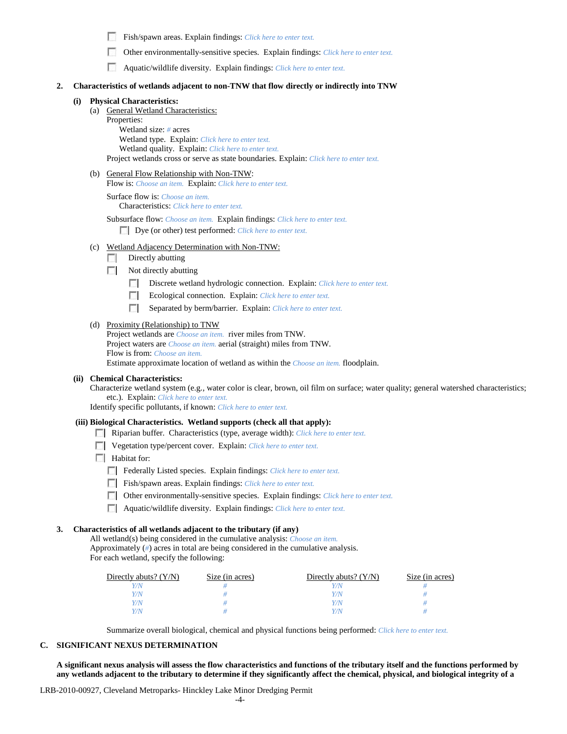Fish/spawn areas. Explain findings: *Click here to enter text.*

Other environmentally-sensitive species. Explain findings: *Click here to enter text.* **1999** 

Aquatic/wildlife diversity. Explain findings: *Click here to enter text.*

### **2. Characteristics of wetlands adjacent to non-TNW that flow directly or indirectly into TNW**

### **(i) Physical Characteristics:**

(a) General Wetland Characteristics:

Properties:

Wetland size: *#* acres Wetland type. Explain: *Click here to enter text.* Wetland quality. Explain: *Click here to enter text.* Project wetlands cross or serve as state boundaries. Explain: *Click here to enter text.*

### (b) General Flow Relationship with Non-TNW:

Flow is: *Choose an item.* Explain: *Click here to enter text.*

Surface flow is: *Choose an item.* Characteristics: *Click here to enter text.*

Subsurface flow: *Choose an item.* Explain findings: *Click here to enter text.* Dye (or other) test performed: *Click here to enter text.*

- (c) Wetland Adjacency Determination with Non-TNW:
	- $\Box$  Directly abutting
	- Not directly abutting
		- Discrete wetland hydrologic connection. Explain: *Click here to enter text.*
		- $\mathcal{L}$ Ecological connection. Explain: *Click here to enter text.*
		- Separated by berm/barrier. Explain: *Click here to enter text.*

#### (d) Proximity (Relationship) to TNW

Project wetlands are *Choose an item.* river miles from TNW. Project waters are *Choose an item.* aerial (straight) miles from TNW. Flow is from: *Choose an item.* Estimate approximate location of wetland as within the *Choose an item.* floodplain.

#### **(ii) Chemical Characteristics:**

Characterize wetland system (e.g., water color is clear, brown, oil film on surface; water quality; general watershed characteristics; etc.). Explain: *Click here to enter text.*

Identify specific pollutants, if known: *Click here to enter text.*

#### **(iii) Biological Characteristics. Wetland supports (check all that apply):**

- Riparian buffer. Characteristics (type, average width): *Click here to enter text.*
- Vegetation type/percent cover. Explain: *Click here to enter text.*
- **Habitat for:** 
	- Federally Listed species. Explain findings: *Click here to enter text*.
	- Fish/spawn areas. Explain findings: *Click here to enter text.*
	- Other environmentally-sensitive species. Explain findings: *Click here to enter text.*
	- Aquatic/wildlife diversity. Explain findings: *Click here to enter text.*

## **3. Characteristics of all wetlands adjacent to the tributary (if any)**

All wetland(s) being considered in the cumulative analysis: *Choose an item.* Approximately (*#*) acres in total are being considered in the cumulative analysis. For each wetland, specify the following:

| Directly abuts? $(Y/N)$ | Size (in acres) | Directly abuts? $(Y/N)$ | Size (in acres) |
|-------------------------|-----------------|-------------------------|-----------------|
|                         |                 |                         |                 |
| Y/N                     |                 | Y/N                     |                 |
|                         |                 | 77N                     |                 |
|                         |                 |                         |                 |

Summarize overall biological, chemical and physical functions being performed: *Click here to enter text.*

### **C. SIGNIFICANT NEXUS DETERMINATION**

**A significant nexus analysis will assess the flow characteristics and functions of the tributary itself and the functions performed by any wetlands adjacent to the tributary to determine if they significantly affect the chemical, physical, and biological integrity of a** 

LRB-2010-00927, Cleveland Metroparks- Hinckley Lake Minor Dredging Permit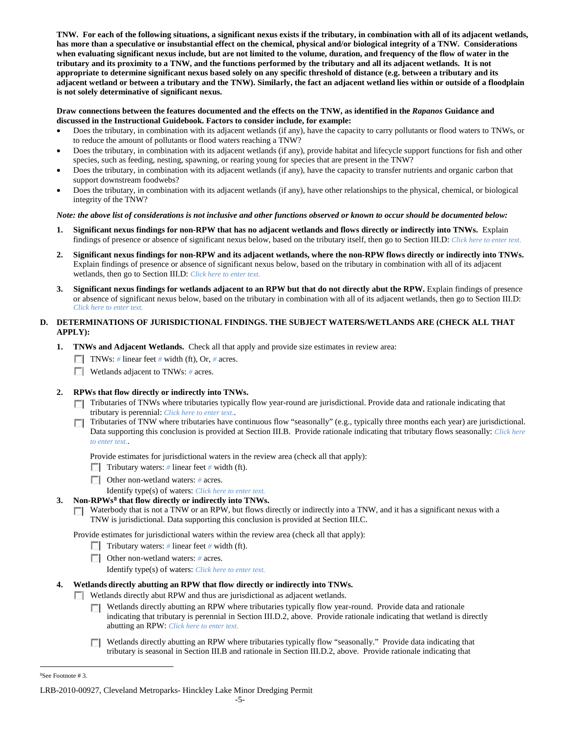**TNW. For each of the following situations, a significant nexus exists if the tributary, in combination with all of its adjacent wetlands, has more than a speculative or insubstantial effect on the chemical, physical and/or biological integrity of a TNW. Considerations when evaluating significant nexus include, but are not limited to the volume, duration, and frequency of the flow of water in the tributary and its proximity to a TNW, and the functions performed by the tributary and all its adjacent wetlands. It is not appropriate to determine significant nexus based solely on any specific threshold of distance (e.g. between a tributary and its adjacent wetland or between a tributary and the TNW). Similarly, the fact an adjacent wetland lies within or outside of a floodplain is not solely determinative of significant nexus.** 

### **Draw connections between the features documented and the effects on the TNW, as identified in the** *Rapanos* **Guidance and discussed in the Instructional Guidebook. Factors to consider include, for example:**

- Does the tributary, in combination with its adjacent wetlands (if any), have the capacity to carry pollutants or flood waters to TNWs, or to reduce the amount of pollutants or flood waters reaching a TNW?
- Does the tributary, in combination with its adjacent wetlands (if any), provide habitat and lifecycle support functions for fish and other species, such as feeding, nesting, spawning, or rearing young for species that are present in the TNW?
- Does the tributary, in combination with its adjacent wetlands (if any), have the capacity to transfer nutrients and organic carbon that support downstream foodwebs?
- Does the tributary, in combination with its adjacent wetlands (if any), have other relationships to the physical, chemical, or biological integrity of the TNW?

### *Note: the above list of considerations is not inclusive and other functions observed or known to occur should be documented below:*

- **1. Significant nexus findings for non-RPW that has no adjacent wetlands and flows directly or indirectly into TNWs.** Explain findings of presence or absence of significant nexus below, based on the tributary itself, then go to Section III.D: *Click here to enter text.*
- **2. Significant nexus findings for non-RPW and its adjacent wetlands, where the non-RPW flows directly or indirectly into TNWs.**  Explain findings of presence or absence of significant nexus below, based on the tributary in combination with all of its adjacent wetlands, then go to Section III.D: *Click here to enter text.*
- **3. Significant nexus findings for wetlands adjacent to an RPW but that do not directly abut the RPW.** Explain findings of presence or absence of significant nexus below, based on the tributary in combination with all of its adjacent wetlands, then go to Section III.D: *Click here to enter text.*

# **D. DETERMINATIONS OF JURISDICTIONAL FINDINGS. THE SUBJECT WATERS/WETLANDS ARE (CHECK ALL THAT APPLY):**

- **1. TNWs and Adjacent Wetlands.** Check all that apply and provide size estimates in review area:
	- TNWs: *#* linear feet *#* width (ft), Or, *#* acres.
	- Wetlands adjacent to TNWs: *#* acres.

# **2. RPWs that flow directly or indirectly into TNWs.**

- Tributaries of TNWs where tributaries typically flow year-round are jurisdictional. Provide data and rationale indicating that tributary is perennial: *Click here to enter text.*.
- Tributaries of TNW where tributaries have continuous flow "seasonally" (e.g., typically three months each year) are jurisdictional. Data supporting this conclusion is provided at Section III.B. Provide rationale indicating that tributary flows seasonally: *Click here to enter text.*.

Provide estimates for jurisdictional waters in the review area (check all that apply):

- **Tributary waters:** # linear feet # width (ft).
- Other non-wetland waters: *#* acres.
	- Identify type(s) of waters: *Click here to enter text.*
- **3. Non-RPWs[8](#page-4-0) that flow directly or indirectly into TNWs.**
	- $\Box$  Waterbody that is not a TNW or an RPW, but flows directly or indirectly into a TNW, and it has a significant nexus with a TNW is jurisdictional. Data supporting this conclusion is provided at Section III.C.

Provide estimates for jurisdictional waters within the review area (check all that apply):

- Tributary waters: # linear feet # width (ft).
- Other non-wetland waters: # acres.

Identify type(s) of waters: *Click here to enter text.*

# **4. Wetlands directly abutting an RPW that flow directly or indirectly into TNWs.**

Wetlands directly abut RPW and thus are jurisdictional as adjacent wetlands.

- Wetlands directly abutting an RPW where tributaries typically flow year-round. Provide data and rationale indicating that tributary is perennial in Section III.D.2, above. Provide rationale indicating that wetland is directly abutting an RPW: *Click here to enter text.*
- Wetlands directly abutting an RPW where tributaries typically flow "seasonally." Provide data indicating that tributary is seasonal in Section III.B and rationale in Section III.D.2, above. Provide rationale indicating that

<span id="page-4-0"></span> $\frac{1}{8}$ See Footnote # 3.

LRB-2010-00927, Cleveland Metroparks- Hinckley Lake Minor Dredging Permit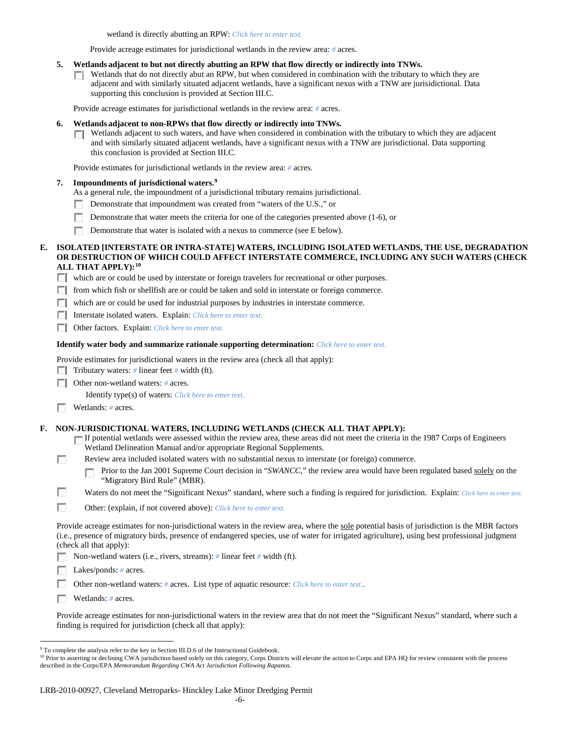wetland is directly abutting an RPW: *Click here to enter text.*

Provide acreage estimates for jurisdictional wetlands in the review area: *#* acres.

- **5. Wetlands adjacent to but not directly abutting an RPW that flow directly or indirectly into TNWs.**
	- $\Box$  Wetlands that do not directly abut an RPW, but when considered in combination with the tributary to which they are adjacent and with similarly situated adjacent wetlands, have a significant nexus with a TNW are jurisidictional. Data supporting this conclusion is provided at Section III.C.

Provide acreage estimates for jurisdictional wetlands in the review area: *#* acres.

- **6. Wetlands adjacent to non-RPWs that flow directly or indirectly into TNWs.** 
	- $\Box$  Wetlands adjacent to such waters, and have when considered in combination with the tributary to which they are adjacent and with similarly situated adjacent wetlands, have a significant nexus with a TNW are jurisdictional. Data supporting this conclusion is provided at Section III.C.

Provide estimates for jurisdictional wetlands in the review area: *#* acres.

### **7. Impoundments of jurisdictional waters. [9](#page-5-0)**

- As a general rule, the impoundment of a jurisdictional tributary remains jurisdictional.
- Demonstrate that impoundment was created from "waters of the U.S.," or
- n. Demonstrate that water meets the criteria for one of the categories presented above (1-6), or
- **Demonstrate that water is isolated with a nexus to commerce (see E below).**

### **E. ISOLATED [INTERSTATE OR INTRA-STATE] WATERS, INCLUDING ISOLATED WETLANDS, THE USE, DEGRADATION OR DESTRUCTION OF WHICH COULD AFFECT INTERSTATE COMMERCE, INCLUDING ANY SUCH WATERS (CHECK ALL THAT APPLY):[10](#page-5-1)**

which are or could be used by interstate or foreign travelers for recreational or other purposes.

- **F** from which fish or shellfish are or could be taken and sold in interstate or foreign commerce.
- which are or could be used for industrial purposes by industries in interstate commerce.

Interstate isolated waters.Explain: *Click here to enter text.*

Other factors.Explain: *Click here to enter text.*

#### **Identify water body and summarize rationale supporting determination:** *Click here to enter text.*

Provide estimates for jurisdictional waters in the review area (check all that apply):

- Tributary waters: # linear feet # width (ft).
- **Other non-wetland waters: # acres.** 
	- Identify type(s) of waters: *Click here to enter text.*
- Wetlands: # acres.

### **F. NON-JURISDICTIONAL WATERS, INCLUDING WETLANDS (CHECK ALL THAT APPLY):**

- If potential wetlands were assessed within the review area, these areas did not meet the criteria in the 1987 Corps of Engineers Wetland Delineation Manual and/or appropriate Regional Supplements.
- П Review area included isolated waters with no substantial nexus to interstate (or foreign) commerce.
	- Prior to the Jan 2001 Supreme Court decision in "*SWANCC*," the review area would have been regulated based solely on the п "Migratory Bird Rule" (MBR).

n Waters do not meet the "Significant Nexus" standard, where such a finding is required for jurisdiction. Explain: Click here to enter text.

 $\sim$ Other: (explain, if not covered above): *Click here to enter text.*

Provide acreage estimates for non-jurisdictional waters in the review area, where the sole potential basis of jurisdiction is the MBR factors (i.e., presence of migratory birds, presence of endangered species, use of water for irrigated agriculture), using best professional judgment (check all that apply):

Non-wetland waters (i.e., rivers, streams): *#* linear feet *#* width (ft).

Lakes/ponds: *#* acres.

Other non-wetland waters: *#* acres. List type of aquatic resource: *Click here to enter text.*.

Wetlands: *#* acres.

Provide acreage estimates for non-jurisdictional waters in the review area that do not meet the "Significant Nexus" standard, where such a finding is required for jurisdiction (check all that apply):

<span id="page-5-0"></span><sup>&</sup>lt;sup>9</sup> To complete the analysis refer to the key in Section III.D.6 of the Instructional Guidebook.

<span id="page-5-1"></span><sup>&</sup>lt;sup>10</sup> Prior to asserting or declining CWA jurisdiction based solely on this category, Corps Districts will elevate the action to Corps and EPA HQ for review consistent with the process described in the Corps/EPA *Memorandum Regarding CWA Act Jurisdiction Following Rapanos.*